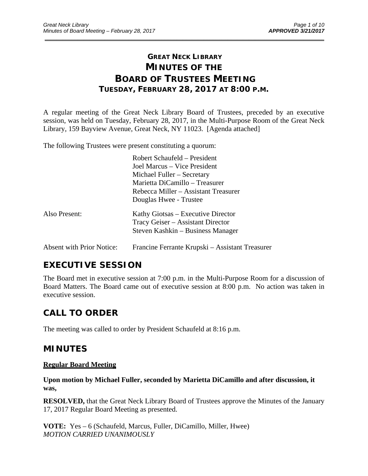# **GREAT NECK LIBRARY MINUTES OF THE BOARD OF TRUSTEES MEETING TUESDAY, FEBRUARY 28, 2017 AT 8:00 P.M.**

\_\_\_\_\_\_\_\_\_\_\_\_\_\_\_\_\_\_\_\_\_\_\_\_\_\_\_\_\_\_\_\_\_\_\_\_\_\_\_\_\_\_\_\_\_\_\_\_\_\_\_\_\_\_\_\_\_\_\_\_\_\_\_\_\_\_\_\_\_\_\_\_\_\_\_\_\_\_\_\_\_\_\_\_\_\_\_\_\_\_\_\_\_

A regular meeting of the Great Neck Library Board of Trustees, preceded by an executive session, was held on Tuesday, February 28, 2017, in the Multi-Purpose Room of the Great Neck Library, 159 Bayview Avenue, Great Neck, NY 11023. [Agenda attached]

The following Trustees were present constituting a quorum:

|                                  | Robert Schaufeld – President                    |
|----------------------------------|-------------------------------------------------|
|                                  | Joel Marcus – Vice President                    |
|                                  | Michael Fuller – Secretary                      |
|                                  | Marietta DiCamillo - Treasurer                  |
|                                  | Rebecca Miller – Assistant Treasurer            |
|                                  | Douglas Hwee - Trustee                          |
| Also Present:                    | Kathy Giotsas – Executive Director              |
|                                  | Tracy Geiser – Assistant Director               |
|                                  | Steven Kashkin – Business Manager               |
| <b>Absent with Prior Notice:</b> | Francine Ferrante Krupski – Assistant Treasurer |

# **EXECUTIVE SESSION**

The Board met in executive session at 7:00 p.m. in the Multi-Purpose Room for a discussion of Board Matters. The Board came out of executive session at 8:00 p.m. No action was taken in executive session.

# **CALL TO ORDER**

The meeting was called to order by President Schaufeld at 8:16 p.m.

## **MINUTES**

### **Regular Board Meeting**

**Upon motion by Michael Fuller, seconded by Marietta DiCamillo and after discussion, it was,** 

**RESOLVED,** that the Great Neck Library Board of Trustees approve the Minutes of the January 17, 2017 Regular Board Meeting as presented.

**VOTE:** Yes – 6 (Schaufeld, Marcus, Fuller, DiCamillo, Miller, Hwee) *MOTION CARRIED UNANIMOUSLY*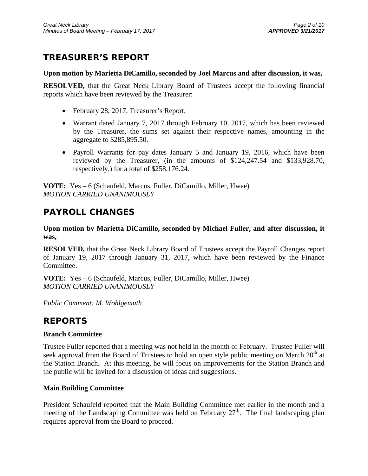# **TREASURER'S REPORT**

### **Upon motion by Marietta DiCamillo, seconded by Joel Marcus and after discussion, it was,**

**RESOLVED,** that the Great Neck Library Board of Trustees accept the following financial reports which have been reviewed by the Treasurer:

- February 28, 2017, Treasurer's Report;
- Warrant dated January 7, 2017 through February 10, 2017, which has been reviewed by the Treasurer, the sums set against their respective names, amounting in the aggregate to \$285,895.50.
- Payroll Warrants for pay dates January 5 and January 19, 2016, which have been reviewed by the Treasurer, (in the amounts of \$124,247.54 and \$133,928.70, respectively,) for a total of \$258,176.24.

**VOTE:** Yes – 6 (Schaufeld, Marcus, Fuller, DiCamillo, Miller, Hwee) *MOTION CARRIED UNANIMOUSLY* 

# **PAYROLL CHANGES**

**Upon motion by Marietta DiCamillo, seconded by Michael Fuller, and after discussion, it was,** 

**RESOLVED,** that the Great Neck Library Board of Trustees accept the Payroll Changes report of January 19, 2017 through January 31, 2017, which have been reviewed by the Finance Committee.

**VOTE:** Yes – 6 (Schaufeld, Marcus, Fuller, DiCamillo, Miller, Hwee) *MOTION CARRIED UNANIMOUSLY* 

*Public Comment: M. Wohlgemuth* 

## **REPORTS**

### **Branch Committee**

Trustee Fuller reported that a meeting was not held in the month of February. Trustee Fuller will seek approval from the Board of Trustees to hold an open style public meeting on March  $20<sup>th</sup>$  at the Station Branch. At this meeting, he will focus on improvements for the Station Branch and the public will be invited for a discussion of ideas and suggestions.

### **Main Building Committee**

President Schaufeld reported that the Main Building Committee met earlier in the month and a meeting of the Landscaping Committee was held on February  $27<sup>th</sup>$ . The final landscaping plan requires approval from the Board to proceed.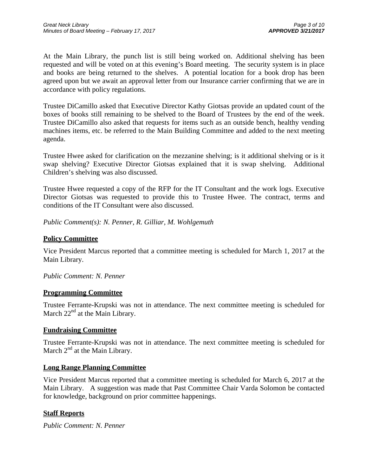At the Main Library, the punch list is still being worked on. Additional shelving has been requested and will be voted on at this evening's Board meeting. The security system is in place and books are being returned to the shelves. A potential location for a book drop has been agreed upon but we await an approval letter from our Insurance carrier confirming that we are in accordance with policy regulations.

Trustee DiCamillo asked that Executive Director Kathy Giotsas provide an updated count of the boxes of books still remaining to be shelved to the Board of Trustees by the end of the week. Trustee DiCamillo also asked that requests for items such as an outside bench, healthy vending machines items, etc. be referred to the Main Building Committee and added to the next meeting agenda.

Trustee Hwee asked for clarification on the mezzanine shelving; is it additional shelving or is it swap shelving? Executive Director Giotsas explained that it is swap shelving. Additional Children's shelving was also discussed.

Trustee Hwee requested a copy of the RFP for the IT Consultant and the work logs. Executive Director Giotsas was requested to provide this to Trustee Hwee. The contract, terms and conditions of the IT Consultant were also discussed.

*Public Comment(s): N. Penner, R. Gilliar, M. Wohlgemuth* 

### **Policy Committee**

Vice President Marcus reported that a committee meeting is scheduled for March 1, 2017 at the Main Library.

### *Public Comment: N. Penner*

### **Programming Committee**

Trustee Ferrante-Krupski was not in attendance. The next committee meeting is scheduled for March  $22<sup>nd</sup>$  at the Main Library.

### **Fundraising Committee**

Trustee Ferrante-Krupski was not in attendance. The next committee meeting is scheduled for March  $2<sup>nd</sup>$  at the Main Library.

### **Long Range Planning Committee**

Vice President Marcus reported that a committee meeting is scheduled for March 6, 2017 at the Main Library. A suggestion was made that Past Committee Chair Varda Solomon be contacted for knowledge, background on prior committee happenings.

### **Staff Reports**

*Public Comment: N. Penner*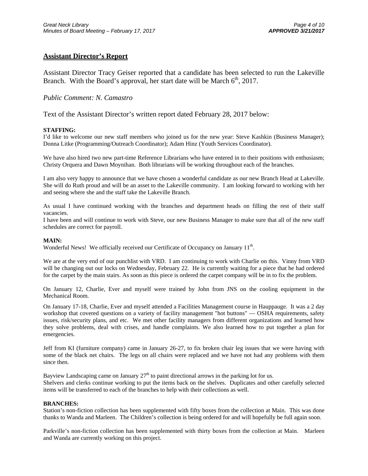### **Assistant Director's Report**

Assistant Director Tracy Geiser reported that a candidate has been selected to run the Lakeville Branch. With the Board's approval, her start date will be March  $6<sup>th</sup>$ , 2017.

### *Public Comment: N. Camastro*

Text of the Assistant Director's written report dated February 28, 2017 below:

#### **STAFFING:**

I'd like to welcome our new staff members who joined us for the new year: Steve Kashkin (Business Manager); Donna Litke (Programming/Outreach Coordinator); Adam Hinz (Youth Services Coordinator).

We have also hired two new part-time Reference Librarians who have entered in to their positions with enthusiasm; Christy Orquera and Dawn Moynihan. Both librarians will be working throughout each of the branches.

I am also very happy to announce that we have chosen a wonderful candidate as our new Branch Head at Lakeville. She will do Ruth proud and will be an asset to the Lakeville community. I am looking forward to working with her and seeing where she and the staff take the Lakeville Branch.

As usual I have continued working with the branches and department heads on filling the rest of their staff vacancies.

I have been and will continue to work with Steve, our new Business Manager to make sure that all of the new staff schedules are correct for payroll.

#### **MAIN:**

Wonderful News! We officially received our Certificate of Occupancy on January 11<sup>th</sup>.

We are at the very end of our punchlist with VRD. I am continuing to work with Charlie on this. Vinny from VRD will be changing out our locks on Wednesday, February 22. He is currently waiting for a piece that he had ordered for the carpet by the main stairs. As soon as this piece is ordered the carpet company will be in to fix the problem.

On January 12, Charlie, Ever and myself were trained by John from JNS on the cooling equipment in the Mechanical Room.

On January 17-18, Charlie, Ever and myself attended a Facilities Management course in Hauppauge. It was a 2 day workshop that covered questions on a variety of facility management "hot buttons" — OSHA requirements, safety issues, risk/security plans, and etc. We met other facility managers from different organizations and learned how they solve problems, deal with crises, and handle complaints. We also learned how to put together a plan for emergencies.

Jeff from KI (furniture company) came in January 26-27, to fix broken chair leg issues that we were having with some of the black net chairs. The legs on all chairs were replaced and we have not had any problems with them since then.

Bayview Landscaping came on January  $27<sup>th</sup>$  to paint directional arrows in the parking lot for us. Shelvers and clerks continue working to put the items back on the shelves. Duplicates and other carefully selected items will be transferred to each of the branches to help with their collections as well.

#### **BRANCHES:**

Station's non-fiction collection has been supplemented with fifty boxes from the collection at Main. This was done thanks to Wanda and Marleen. The Children's collection is being ordered for and will hopefully be full again soon.

Parkville's non-fiction collection has been supplemented with thirty boxes from the collection at Main. Marleen and Wanda are currently working on this project.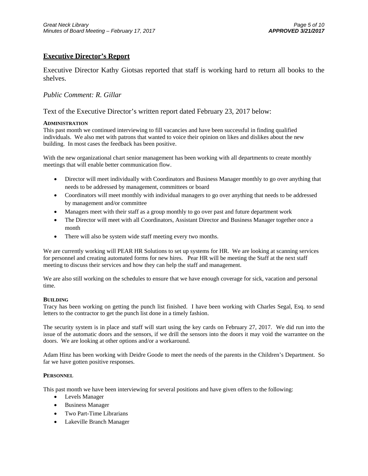### **Executive Director's Report**

Executive Director Kathy Giotsas reported that staff is working hard to return all books to the shelves.

### *Public Comment: R. Gillar*

#### Text of the Executive Director's written report dated February 23, 2017 below:

#### **ADMINISTRATION**

This past month we continued interviewing to fill vacancies and have been successful in finding qualified individuals. We also met with patrons that wanted to voice their opinion on likes and dislikes about the new building. In most cases the feedback has been positive.

With the new organizational chart senior management has been working with all departments to create monthly meetings that will enable better communication flow.

- Director will meet individually with Coordinators and Business Manager monthly to go over anything that needs to be addressed by management, committees or board
- Coordinators will meet monthly with individual managers to go over anything that needs to be addressed by management and/or committee
- Managers meet with their staff as a group monthly to go over past and future department work
- The Director will meet with all Coordinators, Assistant Director and Business Manager together once a month
- There will also be system wide staff meeting every two months.

We are currently working will PEAR HR Solutions to set up systems for HR. We are looking at scanning services for personnel and creating automated forms for new hires. Pear HR will be meeting the Staff at the next staff meeting to discuss their services and how they can help the staff and management.

We are also still working on the schedules to ensure that we have enough coverage for sick, vacation and personal time.

#### **BUILDING**

Tracy has been working on getting the punch list finished. I have been working with Charles Segal, Esq. to send letters to the contractor to get the punch list done in a timely fashion.

The security system is in place and staff will start using the key cards on February 27, 2017. We did run into the issue of the automatic doors and the sensors, if we drill the sensors into the doors it may void the warrantee on the doors. We are looking at other options and/or a workaround.

Adam Hinz has been working with Deidre Goode to meet the needs of the parents in the Children's Department. So far we have gotten positive responses.

#### **PERSONNEL**

This past month we have been interviewing for several positions and have given offers to the following:

- Levels Manager
- Business Manager
- Two Part-Time Librarians
- Lakeville Branch Manager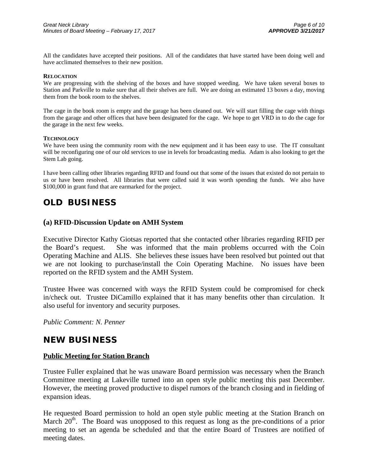All the candidates have accepted their positions. All of the candidates that have started have been doing well and have acclimated themselves to their new position.

#### **RELOCATION**

We are progressing with the shelving of the boxes and have stopped weeding. We have taken several boxes to Station and Parkville to make sure that all their shelves are full. We are doing an estimated 13 boxes a day, moving them from the book room to the shelves.

The cage in the book room is empty and the garage has been cleaned out. We will start filling the cage with things from the garage and other offices that have been designated for the cage. We hope to get VRD in to do the cage for the garage in the next few weeks.

#### **TECHNOLOGY**

We have been using the community room with the new equipment and it has been easy to use. The IT consultant will be reconfiguring one of our old services to use in levels for broadcasting media. Adam is also looking to get the Stem Lab going.

I have been calling other libraries regarding RFID and found out that some of the issues that existed do not pertain to us or have been resolved. All libraries that were called said it was worth spending the funds. We also have \$100,000 in grant fund that are earmarked for the project.

## **OLD BUSINESS**

### **(a) RFID-Discussion Update on AMH System**

Executive Director Kathy Giotsas reported that she contacted other libraries regarding RFID per the Board's request. She was informed that the main problems occurred with the Coin Operating Machine and ALIS. She believes these issues have been resolved but pointed out that we are not looking to purchase/install the Coin Operating Machine. No issues have been reported on the RFID system and the AMH System.

Trustee Hwee was concerned with ways the RFID System could be compromised for check in/check out. Trustee DiCamillo explained that it has many benefits other than circulation. It also useful for inventory and security purposes.

*Public Comment: N. Penner* 

## **NEW BUSINESS**

### **Public Meeting for Station Branch**

Trustee Fuller explained that he was unaware Board permission was necessary when the Branch Committee meeting at Lakeville turned into an open style public meeting this past December. However, the meeting proved productive to dispel rumors of the branch closing and in fielding of expansion ideas.

He requested Board permission to hold an open style public meeting at the Station Branch on March  $20<sup>th</sup>$ . The Board was unopposed to this request as long as the pre-conditions of a prior meeting to set an agenda be scheduled and that the entire Board of Trustees are notified of meeting dates.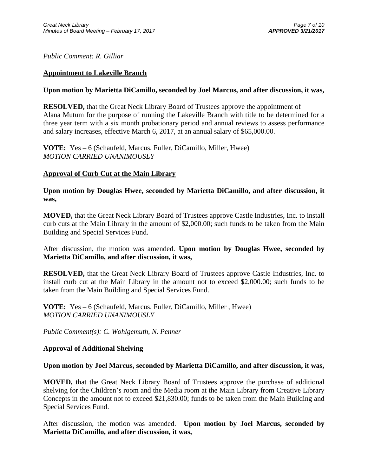*Public Comment: R. Gilliar* 

### **Appointment to Lakeville Branch**

### **Upon motion by Marietta DiCamillo, seconded by Joel Marcus, and after discussion, it was,**

**RESOLVED,** that the Great Neck Library Board of Trustees approve the appointment of Alana Mutum for the purpose of running the Lakeville Branch with title to be determined for a three year term with a six month probationary period and annual reviews to assess performance and salary increases, effective March 6, 2017, at an annual salary of \$65,000.00.

**VOTE:** Yes – 6 (Schaufeld, Marcus, Fuller, DiCamillo, Miller, Hwee) *MOTION CARRIED UNANIMOUSLY* 

### **Approval of Curb Cut at the Main Library**

**Upon motion by Douglas Hwee, seconded by Marietta DiCamillo, and after discussion, it was,** 

**MOVED,** that the Great Neck Library Board of Trustees approve Castle Industries, Inc. to install curb cuts at the Main Library in the amount of \$2,000.00; such funds to be taken from the Main Building and Special Services Fund.

After discussion, the motion was amended. **Upon motion by Douglas Hwee, seconded by Marietta DiCamillo, and after discussion, it was,** 

**RESOLVED,** that the Great Neck Library Board of Trustees approve Castle Industries, Inc. to install curb cut at the Main Library in the amount not to exceed \$2,000.00; such funds to be taken from the Main Building and Special Services Fund.

**VOTE:** Yes – 6 (Schaufeld, Marcus, Fuller, DiCamillo, Miller , Hwee) *MOTION CARRIED UNANIMOUSLY* 

*Public Comment(s): C. Wohlgemuth, N. Penner* 

### **Approval of Additional Shelving**

### **Upon motion by Joel Marcus, seconded by Marietta DiCamillo, and after discussion, it was,**

**MOVED,** that the Great Neck Library Board of Trustees approve the purchase of additional shelving for the Children's room and the Media room at the Main Library from Creative Library Concepts in the amount not to exceed \$21,830.00; funds to be taken from the Main Building and Special Services Fund.

After discussion, the motion was amended. **Upon motion by Joel Marcus, seconded by Marietta DiCamillo, and after discussion, it was,**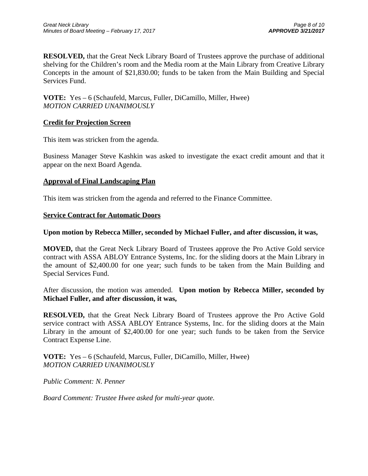**RESOLVED,** that the Great Neck Library Board of Trustees approve the purchase of additional shelving for the Children's room and the Media room at the Main Library from Creative Library Concepts in the amount of \$21,830.00; funds to be taken from the Main Building and Special Services Fund.

### **VOTE:** Yes – 6 (Schaufeld, Marcus, Fuller, DiCamillo, Miller, Hwee) *MOTION CARRIED UNANIMOUSLY*

### **Credit for Projection Screen**

This item was stricken from the agenda.

Business Manager Steve Kashkin was asked to investigate the exact credit amount and that it appear on the next Board Agenda.

### **Approval of Final Landscaping Plan**

This item was stricken from the agenda and referred to the Finance Committee.

### **Service Contract for Automatic Doors**

### **Upon motion by Rebecca Miller, seconded by Michael Fuller, and after discussion, it was,**

**MOVED,** that the Great Neck Library Board of Trustees approve the Pro Active Gold service contract with ASSA ABLOY Entrance Systems, Inc. for the sliding doors at the Main Library in the amount of \$2,400.00 for one year; such funds to be taken from the Main Building and Special Services Fund.

After discussion, the motion was amended. **Upon motion by Rebecca Miller, seconded by Michael Fuller, and after discussion, it was,** 

**RESOLVED,** that the Great Neck Library Board of Trustees approve the Pro Active Gold service contract with ASSA ABLOY Entrance Systems, Inc. for the sliding doors at the Main Library in the amount of \$2,400.00 for one year; such funds to be taken from the Service Contract Expense Line.

**VOTE:** Yes – 6 (Schaufeld, Marcus, Fuller, DiCamillo, Miller, Hwee) *MOTION CARRIED UNANIMOUSLY* 

*Public Comment: N. Penner* 

*Board Comment: Trustee Hwee asked for multi-year quote.*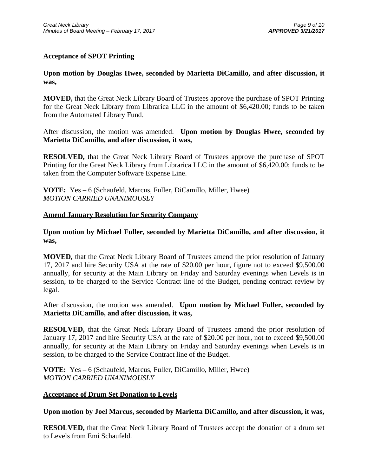### **Acceptance of SPOT Printing**

**Upon motion by Douglas Hwee, seconded by Marietta DiCamillo, and after discussion, it was,** 

**MOVED,** that the Great Neck Library Board of Trustees approve the purchase of SPOT Printing for the Great Neck Library from Librarica LLC in the amount of \$6,420.00; funds to be taken from the Automated Library Fund.

After discussion, the motion was amended. **Upon motion by Douglas Hwee, seconded by Marietta DiCamillo, and after discussion, it was,** 

**RESOLVED,** that the Great Neck Library Board of Trustees approve the purchase of SPOT Printing for the Great Neck Library from Librarica LLC in the amount of \$6,420.00; funds to be taken from the Computer Software Expense Line.

**VOTE:** Yes – 6 (Schaufeld, Marcus, Fuller, DiCamillo, Miller, Hwee) *MOTION CARRIED UNANIMOUSLY* 

### **Amend January Resolution for Security Company**

**Upon motion by Michael Fuller, seconded by Marietta DiCamillo, and after discussion, it was,** 

**MOVED,** that the Great Neck Library Board of Trustees amend the prior resolution of January 17, 2017 and hire Security USA at the rate of \$20.00 per hour, figure not to exceed \$9,500.00 annually, for security at the Main Library on Friday and Saturday evenings when Levels is in session, to be charged to the Service Contract line of the Budget, pending contract review by legal.

After discussion, the motion was amended. **Upon motion by Michael Fuller, seconded by Marietta DiCamillo, and after discussion, it was,** 

**RESOLVED,** that the Great Neck Library Board of Trustees amend the prior resolution of January 17, 2017 and hire Security USA at the rate of \$20.00 per hour, not to exceed \$9,500.00 annually, for security at the Main Library on Friday and Saturday evenings when Levels is in session, to be charged to the Service Contract line of the Budget.

**VOTE:** Yes – 6 (Schaufeld, Marcus, Fuller, DiCamillo, Miller, Hwee) *MOTION CARRIED UNANIMOUSLY* 

### **Acceptance of Drum Set Donation to Levels**

**Upon motion by Joel Marcus, seconded by Marietta DiCamillo, and after discussion, it was,** 

**RESOLVED,** that the Great Neck Library Board of Trustees accept the donation of a drum set to Levels from Emi Schaufeld.